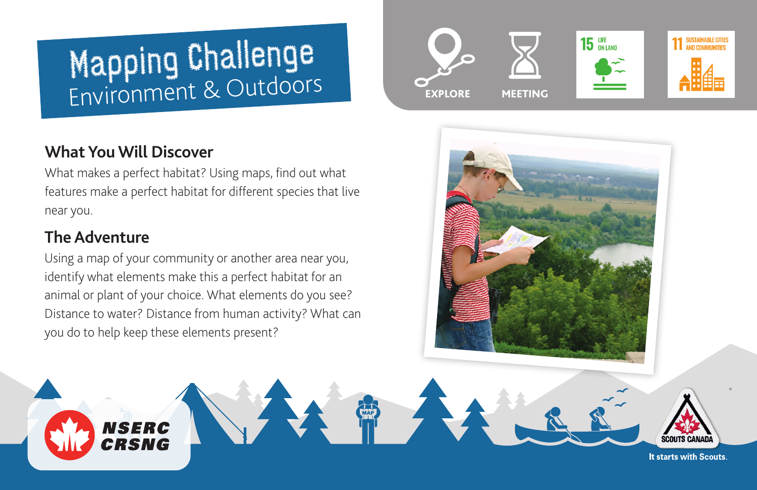# Mapping Challenge Environment & Outdoors

# **What You Will Discover**

**NSERC** CRSNG

What makes a perfect habitat? Using maps, find out what features make a perfect habitat for different species that live near you.

## **The Adventure**

Using a map of your community or another area near you, identify what elements make this a perfect habitat for an animal or plant of your choice. What elements do you see? Distance to water? Distance from human activity? What can you do to help keep these elements present?





It starts with Scouts.